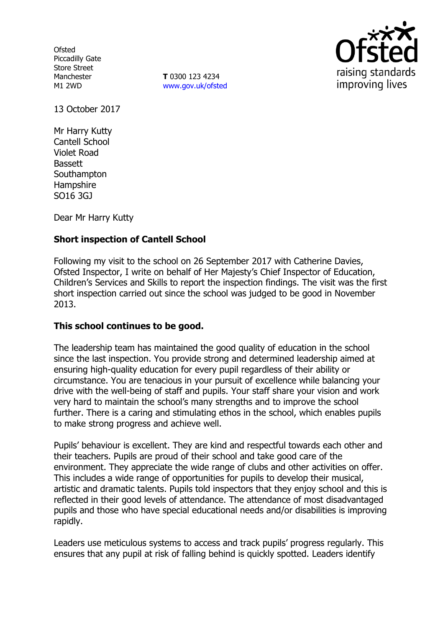**Ofsted** Piccadilly Gate Store Street Manchester M1 2WD

**T** 0300 123 4234 www.gov.uk/ofsted



13 October 2017

Mr Harry Kutty Cantell School Violet Road Bassett **Southampton Hampshire** SO16 3GJ

Dear Mr Harry Kutty

## **Short inspection of Cantell School**

Following my visit to the school on 26 September 2017 with Catherine Davies, Ofsted Inspector, I write on behalf of Her Majesty's Chief Inspector of Education, Children's Services and Skills to report the inspection findings. The visit was the first short inspection carried out since the school was judged to be good in November 2013.

### **This school continues to be good.**

The leadership team has maintained the good quality of education in the school since the last inspection. You provide strong and determined leadership aimed at ensuring high-quality education for every pupil regardless of their ability or circumstance. You are tenacious in your pursuit of excellence while balancing your drive with the well-being of staff and pupils. Your staff share your vision and work very hard to maintain the school's many strengths and to improve the school further. There is a caring and stimulating ethos in the school, which enables pupils to make strong progress and achieve well.

Pupils' behaviour is excellent. They are kind and respectful towards each other and their teachers. Pupils are proud of their school and take good care of the environment. They appreciate the wide range of clubs and other activities on offer. This includes a wide range of opportunities for pupils to develop their musical, artistic and dramatic talents. Pupils told inspectors that they enjoy school and this is reflected in their good levels of attendance. The attendance of most disadvantaged pupils and those who have special educational needs and/or disabilities is improving rapidly.

Leaders use meticulous systems to access and track pupils' progress regularly. This ensures that any pupil at risk of falling behind is quickly spotted. Leaders identify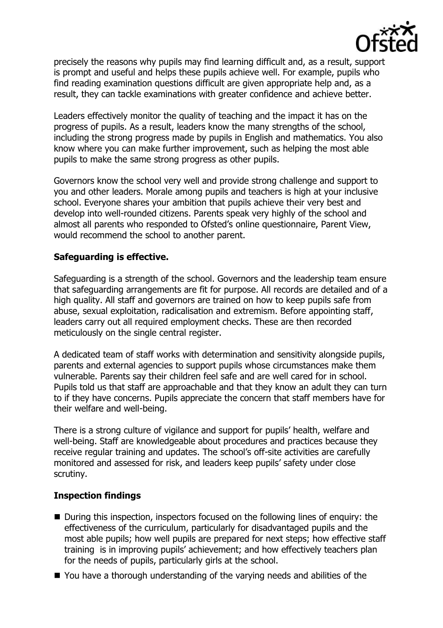

precisely the reasons why pupils may find learning difficult and, as a result, support is prompt and useful and helps these pupils achieve well. For example, pupils who find reading examination questions difficult are given appropriate help and, as a result, they can tackle examinations with greater confidence and achieve better.

Leaders effectively monitor the quality of teaching and the impact it has on the progress of pupils. As a result, leaders know the many strengths of the school, including the strong progress made by pupils in English and mathematics. You also know where you can make further improvement, such as helping the most able pupils to make the same strong progress as other pupils.

Governors know the school very well and provide strong challenge and support to you and other leaders. Morale among pupils and teachers is high at your inclusive school. Everyone shares your ambition that pupils achieve their very best and develop into well-rounded citizens. Parents speak very highly of the school and almost all parents who responded to Ofsted's online questionnaire, Parent View, would recommend the school to another parent.

# **Safeguarding is effective.**

Safeguarding is a strength of the school. Governors and the leadership team ensure that safeguarding arrangements are fit for purpose. All records are detailed and of a high quality. All staff and governors are trained on how to keep pupils safe from abuse, sexual exploitation, radicalisation and extremism. Before appointing staff, leaders carry out all required employment checks. These are then recorded meticulously on the single central register.

A dedicated team of staff works with determination and sensitivity alongside pupils, parents and external agencies to support pupils whose circumstances make them vulnerable. Parents say their children feel safe and are well cared for in school. Pupils told us that staff are approachable and that they know an adult they can turn to if they have concerns. Pupils appreciate the concern that staff members have for their welfare and well-being.

There is a strong culture of vigilance and support for pupils' health, welfare and well-being. Staff are knowledgeable about procedures and practices because they receive regular training and updates. The school's off-site activities are carefully monitored and assessed for risk, and leaders keep pupils' safety under close scrutiny.

### **Inspection findings**

- During this inspection, inspectors focused on the following lines of enguiry: the effectiveness of the curriculum, particularly for disadvantaged pupils and the most able pupils; how well pupils are prepared for next steps; how effective staff training is in improving pupils' achievement; and how effectively teachers plan for the needs of pupils, particularly girls at the school.
- You have a thorough understanding of the varying needs and abilities of the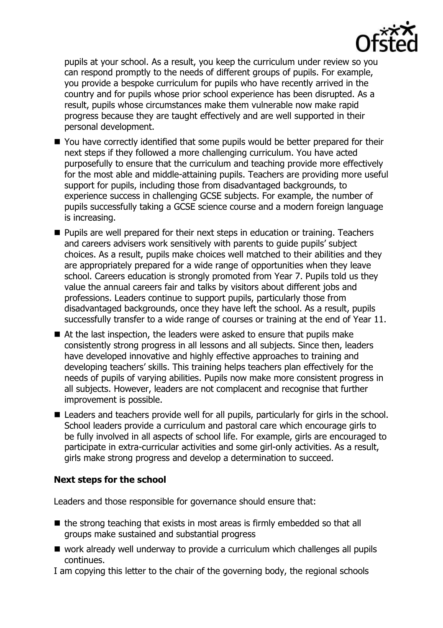

pupils at your school. As a result, you keep the curriculum under review so you can respond promptly to the needs of different groups of pupils. For example, you provide a bespoke curriculum for pupils who have recently arrived in the country and for pupils whose prior school experience has been disrupted. As a result, pupils whose circumstances make them vulnerable now make rapid progress because they are taught effectively and are well supported in their personal development.

- You have correctly identified that some pupils would be better prepared for their next steps if they followed a more challenging curriculum. You have acted purposefully to ensure that the curriculum and teaching provide more effectively for the most able and middle-attaining pupils. Teachers are providing more useful support for pupils, including those from disadvantaged backgrounds, to experience success in challenging GCSE subjects. For example, the number of pupils successfully taking a GCSE science course and a modern foreign language is increasing.
- **Pupils are well prepared for their next steps in education or training. Teachers** and careers advisers work sensitively with parents to guide pupils' subject choices. As a result, pupils make choices well matched to their abilities and they are appropriately prepared for a wide range of opportunities when they leave school. Careers education is strongly promoted from Year 7. Pupils told us they value the annual careers fair and talks by visitors about different jobs and professions. Leaders continue to support pupils, particularly those from disadvantaged backgrounds, once they have left the school. As a result, pupils successfully transfer to a wide range of courses or training at the end of Year 11.
- At the last inspection, the leaders were asked to ensure that pupils make consistently strong progress in all lessons and all subjects. Since then, leaders have developed innovative and highly effective approaches to training and developing teachers' skills. This training helps teachers plan effectively for the needs of pupils of varying abilities. Pupils now make more consistent progress in all subjects. However, leaders are not complacent and recognise that further improvement is possible.
- Leaders and teachers provide well for all pupils, particularly for girls in the school. School leaders provide a curriculum and pastoral care which encourage girls to be fully involved in all aspects of school life. For example, girls are encouraged to participate in extra-curricular activities and some girl-only activities. As a result, girls make strong progress and develop a determination to succeed.

### **Next steps for the school**

Leaders and those responsible for governance should ensure that:

- $\blacksquare$  the strong teaching that exists in most areas is firmly embedded so that all groups make sustained and substantial progress
- work already well underway to provide a curriculum which challenges all pupils continues.

I am copying this letter to the chair of the governing body, the regional schools